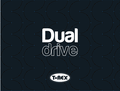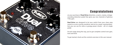

# **Congratulations**

on your purchase of **Dual Drive** distortion, a warm, creamy, vintagesounding distortion pedal that gives you two channels of glorious T-Rex gain.

**Dual Drive** was designed to let your switch from your clean amp sound, to a nice crunchy overdrive, and on to a sweet, searing distortion you can use for solos or grungy power chords – all in a single pedal.

At each stage along the way, you've got complete control over gain, tone and level.

To get started, check out the controls overview in this user manual.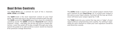## Dual Drive Controls

Your **Dual Drive** has 3 controls for each of the 2 channels: **GAIN**, **LEVEL** and **TONE**.

The **GAIN** knob is the most important control on your Dual Drive. The more you turn it up, the more overdrive gain you get. The **GAIN** control for **Channel A** goes from clean to a moderate overdrive sound. The **GAIN** control for **Channel B** starts where Channel 1 stops – and takes you all the way up to a creamy distortion. Leave the pedal off to play straight through your amp. Switch the pedal on to add overdrive crunch. Switch to Channel B for premium vintage distortion.

The **LEVEL** knob is used to set the overall output volume from each channel of your **Dual Drive**. At 12 o'clock your output is the same as your input volume. Turning it all the way up (clockwise) will boost your output signal by 15 dB.

The **TONE** knob lets you control the top end, or "edge", of your signal without compromising sonic quality. Try setting it separately for each channel to create your own signature overdrive and distortion sounds.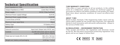# **Technical Specification Technical Specification**

| Input Impedance $\omega$ 1KHz      | Higher than 1M Ohm                                                      |
|------------------------------------|-------------------------------------------------------------------------|
| Output Impedance @ 1KHZ            | Lower than 1K Ohm                                                       |
| Power supply                       | 9V DC (T-Rex FuelTank)                                                  |
| Minimum Power supply Voltage       | 8,5V DC                                                                 |
| Maximum Power supply Voltage       | 12,5V DC                                                                |
| Current Draw @ 9V DC               | 50 mA                                                                   |
| Maximum Input signal Vp/p          | 3Vp/p                                                                   |
| <b>Battery Type</b>                | 9 V battery 6F22                                                        |
| <b>Battery Life</b>                | $6 - 9$ hours                                                           |
| External connectors                | Input Jack, Output Jack, 9V DC Jack                                     |
| Controls                           | On/Off, A/B switch, Gain A, Gain B,<br>Level A, Level B, Tone A, Tone B |
| Pedal size incl. knobs (W x H x D) | 100 x 55 x 120 mm<br>3,9 x 2,2 x 4,7 inch                               |
| Weight excl. battery and packaging | $0,335$ kg / 11,8 oz                                                    |

T-Rex offers a 2-year warranty on all our products. In the unlikely event of a malfunction, please contact our technical support at service@t-rex-effects.com before sending us the product for repair. Read more about warranty conditions at www.t-rex-effects.com/ service

### **ABOUT T-REX**

Based in Vejle, Denmark, T-Rex Engineering makes classic and signature effects pedals for the world's best musicians. Our approach blends hi-tech innovation with old-world craftsmanship – always in the service of killer tone.

## **EU REGULATIONS • ENVIRONMENT PROTECTION**

T-Rex accepts and follows the regulations and directives issued by the EU. We find these environment protecting regulations very good, and we are happy to follow them.